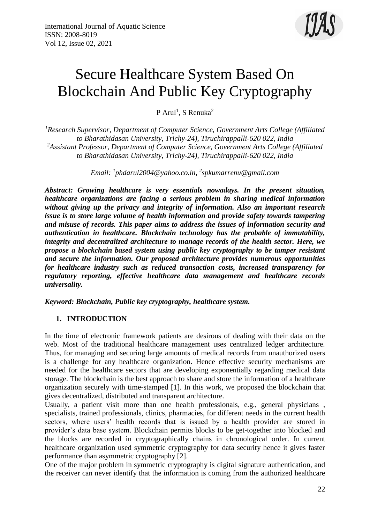# Secure Healthcare System Based On Blockchain And Public Key Cryptography

P Arul<sup>1</sup>, S Renuka<sup>2</sup>

*<sup>1</sup>Research Supervisor, Department of Computer Science, Government Arts College (Affiliated to Bharathidasan University, Trichy-24), Tiruchirappalli-620 022, India <sup>2</sup>Assistant Professor, Department of Computer Science, Government Arts College (Affiliated to Bharathidasan University, Trichy-24), Tiruchirappalli-620 022, India*

*Email: <sup>1</sup> [phdarul2004@yahoo.co.in,](mailto:2phdarul2004@yahoo.co.in) 2 [spkumarrenu@gmail.com](mailto:spkumarrenu@gmail.com)*

*Abstract: Growing healthcare is very essentials nowadays. In the present situation, healthcare organizations are facing a serious problem in sharing medical information without giving up the privacy and integrity of information. Also an important research issue is to store large volume of health information and provide safety towards tampering and misuse of records. This paper aims to address the issues of information security and authentication in healthcare. Blockchain technology has the probable of immutability, integrity and decentralized architecture to manage records of the health sector. Here, we propose a blockchain based system using public key cryptography to be tamper resistant and secure the information. Our proposed architecture provides numerous opportunities for healthcare industry such as reduced transaction costs, increased transparency for regulatory reporting, effective healthcare data management and healthcare records universality.*

*Keyword: Blockchain, Public key cryptography, healthcare system.*

# **1. INTRODUCTION**

In the time of electronic framework patients are desirous of dealing with their data on the web. Most of the traditional healthcare management uses centralized ledger architecture. Thus, for managing and securing large amounts of medical records from unauthorized users is a challenge for any healthcare organization. Hence effective security mechanisms are needed for the healthcare sectors that are developing exponentially regarding medical data storage. The blockchain is the best approach to share and store the information of a healthcare organization securely with time-stamped [1]. In this work, we proposed the blockchain that gives decentralized, distributed and transparent architecture.

Usually, a patient visit more than one health professionals, e.g., general physicians , specialists, trained professionals, clinics, pharmacies, for different needs in the current health sectors, where users' health records that is issued by a health provider are stored in provider's data base system. Blockchain permits blocks to be get-together into blocked and the blocks are recorded in cryptographically chains in chronological order. In current healthcare organization used symmetric cryptography for data security hence it gives faster performance than asymmetric cryptography [2].

One of the major problem in symmetric cryptography is digital signature authentication, and the receiver can never identify that the information is coming from the authorized healthcare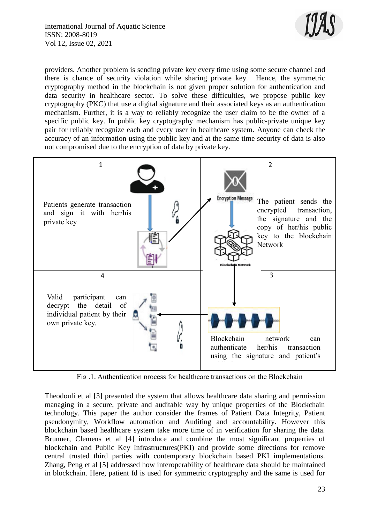

providers. Another problem is sending private key every time using some secure channel and there is chance of security violation while sharing private key. Hence, the symmetric cryptography method in the blockchain is not given proper solution for authentication and data security in healthcare sector. To solve these difficulties, we propose public key cryptography (PKC) that use a digital signature and their associated keys as an authentication mechanism. Further, it is a way to reliably recognize the user claim to be the owner of a specific public key. In public key cryptography mechanism has public-private unique key pair for reliably recognize each and every user in healthcare system. Anyone can check the accuracy of an information using the public key and at the same time security of data is also not compromised due to the encryption of data by private key.



Fig .1, Authentication process for healthcare transactions on the Blockchain

Theodouli et al [3] presented the system that allows healthcare data sharing and permission managing in a secure, private and auditable way by unique properties of the Blockchain technology. This paper the author consider the frames of Patient Data Integrity, Patient pseudonymity, Workflow automation and Auditing and accountability. However this blockchain based healthcare system take more time of in verification for sharing the data. Brunner, Clemens et al [4] introduce and combine the most significant properties of blockchain and Public Key Infrastructures(PKI) and provide some directions for remove central trusted third parties with contemporary blockchain based PKI implementations. Zhang, Peng et al [5] addressed how interoperability of healthcare data should be maintained in blockchain. Here, patient Id is used for symmetric cryptography and the same is used for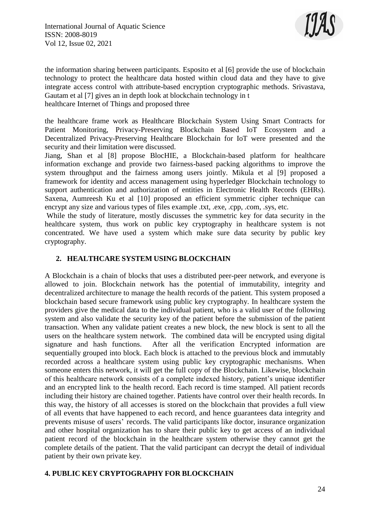

the information sharing between participants. Esposito et al [6] provide the use of blockchain technology to protect the healthcare data hosted within cloud data and they have to give integrate access control with attribute-based encryption cryptographic methods. Srivastava, Gautam et al [7] gives an in depth look at blockchain technology in t healthcare Internet of Things and proposed three

the healthcare frame work as Healthcare Blockchain System Using Smart Contracts for Patient Monitoring, Privacy-Preserving Blockchain Based IoT Ecosystem and a Decentralized Privacy-Preserving Healthcare Blockchain for IoT were presented and the security and their limitation were discussed.

Jiang, Shan et al [8] propose BlocHIE, a Blockchain-based platform for healthcare information exchange and provide two fairness-based packing algorithms to improve the system throughput and the fairness among users jointly. Mikula et al [9] proposed a framework for identity and access management using hyperledger Blockchain technology to support authentication and authorization of entities in Electronic Health Records (EHRs). Saxena, Aumreesh Ku et al [10] proposed an efficient symmetric cipher technique can encrypt any size and various types of files example .txt, .exe, .cpp, .com, .sys, etc.

While the study of literature, mostly discusses the symmetric key for data security in the healthcare system, thus work on public key cryptography in healthcare system is not concentrated. We have used a system which make sure data security by public key cryptography.

# **2. HEALTHCARE SYSTEM USING BLOCKCHAIN**

A Blockchain is a chain of blocks that uses a distributed peer-peer network, and everyone is allowed to join. Blockchain network has the potential of immutability, integrity and decentralized architecture to manage the health records of the patient. This system proposed a blockchain based secure framework using public key cryptography. In healthcare system the providers give the medical data to the individual patient, who is a valid user of the following system and also validate the security key of the patient before the submission of the patient transaction. When any validate patient creates a new block, the new block is sent to all the users on the healthcare system network. The combined data will be encrypted using digital signature and hash functions. After all the verification Encrypted information are sequentially grouped into block. Each block is attached to the previous block and immutably recorded across a healthcare system using public key cryptographic mechanisms. When someone enters this network, it will get the full copy of the Blockchain. Likewise, blockchain of this healthcare network consists of a complete indexed history, patient's unique identifier and an encrypted link to the health record. Each record is time stamped. All patient records including their history are chained together. Patients have control over their health records. In this way, the history of all accesses is stored on the blockchain that provides a full view of all events that have happened to each record, and hence guarantees data integrity and prevents misuse of users' records. The valid participants like doctor, insurance organization and other hospital organization has to share their public key to get access of an individual patient record of the blockchain in the healthcare system otherwise they cannot get the complete details of the patient. That the valid participant can decrypt the detail of individual patient by their own private key.

# **4. PUBLIC KEY CRYPTOGRAPHY FOR BLOCKCHAIN**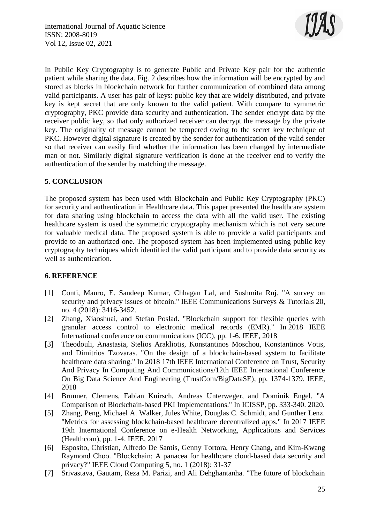

In Public Key Cryptography is to generate Public and Private Key pair for the authentic patient while sharing the data. Fig. 2 describes how the information will be encrypted by and stored as blocks in blockchain network for further communication of combined data among valid participants. A user has pair of keys: public key that are widely distributed, and private key is kept secret that are only known to the valid patient. With compare to symmetric cryptography, PKC provide data security and authentication. The sender encrypt data by the receiver public key, so that only authorized receiver can decrypt the message by the private key. The originality of message cannot be tempered owing to the secret key technique of PKC. However digital signature is created by the sender for authentication of the valid sender so that receiver can easily find whether the information has been changed by intermediate man or not. Similarly digital signature verification is done at the receiver end to verify the authentication of the sender by matching the message.

# **5. CONCLUSION**

The proposed system has been used with Blockchain and Public Key Cryptography (PKC) for security and authentication in Healthcare data. This paper presented the healthcare system for data sharing using blockchain to access the data with all the valid user. The existing healthcare system is used the symmetric cryptography mechanism which is not very secure for valuable medical data. The proposed system is able to provide a valid participants and provide to an authorized one. The proposed system has been implemented using public key cryptography techniques which identified the valid participant and to provide data security as well as authentication.

# **6. REFERENCE**

- [1] Conti, Mauro, E. Sandeep Kumar, Chhagan Lal, and Sushmita Ruj. "A survey on security and privacy issues of bitcoin." IEEE Communications Surveys & Tutorials 20, no. 4 (2018): 3416-3452.
- [2] Zhang, Xiaoshuai, and Stefan Poslad. "Blockchain support for flexible queries with granular access control to electronic medical records (EMR)." In 2018 IEEE International conference on communications (ICC), pp. 1-6. IEEE, 2018
- [3] Theodouli, Anastasia, Stelios Arakliotis, Konstantinos Moschou, Konstantinos Votis, and Dimitrios Tzovaras. "On the design of a blockchain-based system to facilitate healthcare data sharing." In 2018 17th IEEE International Conference on Trust, Security And Privacy In Computing And Communications/12th IEEE International Conference On Big Data Science And Engineering (TrustCom/BigDataSE), pp. 1374-1379. IEEE, 2018
- [4] Brunner, Clemens, Fabian Knirsch, Andreas Unterweger, and Dominik Engel. "A Comparison of Blockchain-based PKI Implementations." In ICISSP, pp. 333-340. 2020.
- [5] Zhang, Peng, Michael A. Walker, Jules White, Douglas C. Schmidt, and Gunther Lenz. "Metrics for assessing blockchain-based healthcare decentralized apps." In 2017 IEEE 19th International Conference on e-Health Networking, Applications and Services (Healthcom), pp. 1-4. IEEE, 2017
- [6] Esposito, Christian, Alfredo De Santis, Genny Tortora, Henry Chang, and Kim-Kwang Raymond Choo. "Blockchain: A panacea for healthcare cloud-based data security and privacy?" IEEE Cloud Computing 5, no. 1 (2018): 31-37
- [7] Srivastava, Gautam, Reza M. Parizi, and Ali Dehghantanha. "The future of blockchain